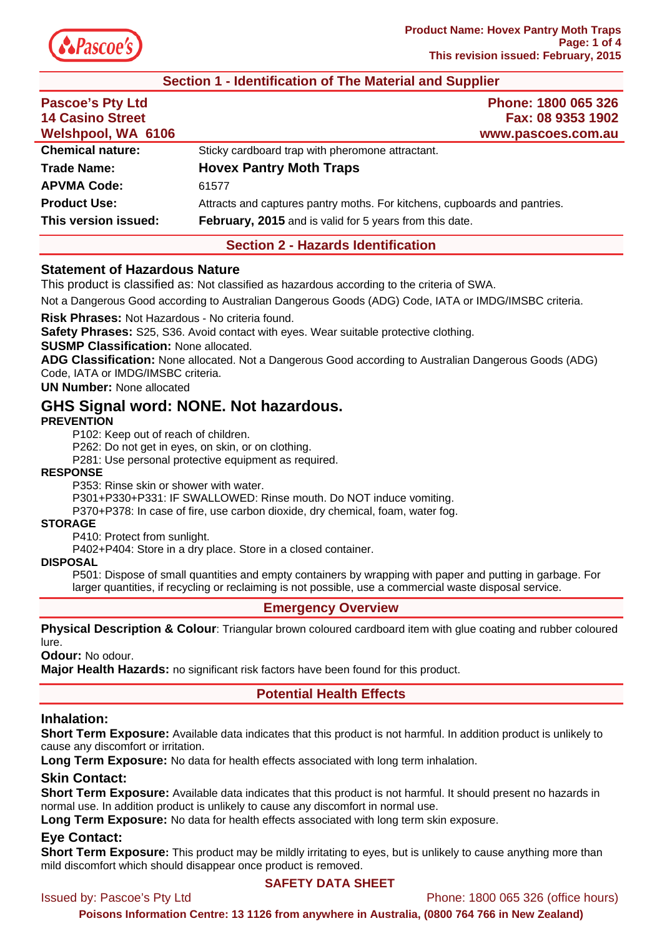

### **Section 1 - Identification of The Material and Supplier**

| <b>Pascoe's Pty Ltd</b><br><b>14 Casino Street</b><br>Welshpool, WA 6106 | Phone: 1800 065 326<br>Fax: 08 9353 1902<br>www.pascoes.com.au            |  |
|--------------------------------------------------------------------------|---------------------------------------------------------------------------|--|
| <b>Chemical nature:</b>                                                  | Sticky cardboard trap with pheromone attractant.                          |  |
| <b>Trade Name:</b>                                                       | <b>Hovex Pantry Moth Traps</b>                                            |  |
| <b>APVMA Code:</b>                                                       | 61577                                                                     |  |
| <b>Product Use:</b>                                                      | Attracts and captures pantry moths. For kitchens, cupboards and pantries. |  |
| This version issued:                                                     | <b>February, 2015</b> and is valid for 5 years from this date.            |  |

## **Section 2 - Hazards Identification**

#### **Statement of Hazardous Nature**

This product is classified as: Not classified as hazardous according to the criteria of SWA.

Not a Dangerous Good according to Australian Dangerous Goods (ADG) Code, IATA or IMDG/IMSBC criteria.

**Risk Phrases:** Not Hazardous - No criteria found.

**Safety Phrases:** S25, S36. Avoid contact with eyes. Wear suitable protective clothing.

**SUSMP Classification:** None allocated.

**ADG Classification:** None allocated. Not a Dangerous Good according to Australian Dangerous Goods (ADG) Code, IATA or IMDG/IMSBC criteria.

**UN Number:** None allocated

# **GHS Signal word: NONE. Not hazardous.**

#### **PREVENTION**

P102: Keep out of reach of children.

P262: Do not get in eyes, on skin, or on clothing.

P281: Use personal protective equipment as required.

#### **RESPONSE**

P353: Rinse skin or shower with water.

P301+P330+P331: IF SWALLOWED: Rinse mouth. Do NOT induce vomiting.

P370+P378: In case of fire, use carbon dioxide, dry chemical, foam, water fog.

#### **STORAGE**

P410: Protect from sunlight.

P402+P404: Store in a dry place. Store in a closed container.

#### **DISPOSAL**

P501: Dispose of small quantities and empty containers by wrapping with paper and putting in garbage. For larger quantities, if recycling or reclaiming is not possible, use a commercial waste disposal service.

#### **Emergency Overview**

**Physical Description & Colour**: Triangular brown coloured cardboard item with glue coating and rubber coloured lure.

**Odour:** No odour.

**Major Health Hazards:** no significant risk factors have been found for this product.

# **Potential Health Effects**

# **Inhalation:**

**Short Term Exposure:** Available data indicates that this product is not harmful. In addition product is unlikely to cause any discomfort or irritation.

**Long Term Exposure:** No data for health effects associated with long term inhalation.

# **Skin Contact:**

**Short Term Exposure:** Available data indicates that this product is not harmful. It should present no hazards in normal use. In addition product is unlikely to cause any discomfort in normal use.

**Long Term Exposure:** No data for health effects associated with long term skin exposure.

# **Eye Contact:**

**Short Term Exposure:** This product may be mildly irritating to eyes, but is unlikely to cause anything more than mild discomfort which should disappear once product is removed.

#### **SAFETY DATA SHEET**

Issued by: Pascoe's Pty Ltd Phone: 1800 065 326 (office hours)

**Poisons Information Centre: 13 1126 from anywhere in Australia, (0800 764 766 in New Zealand)**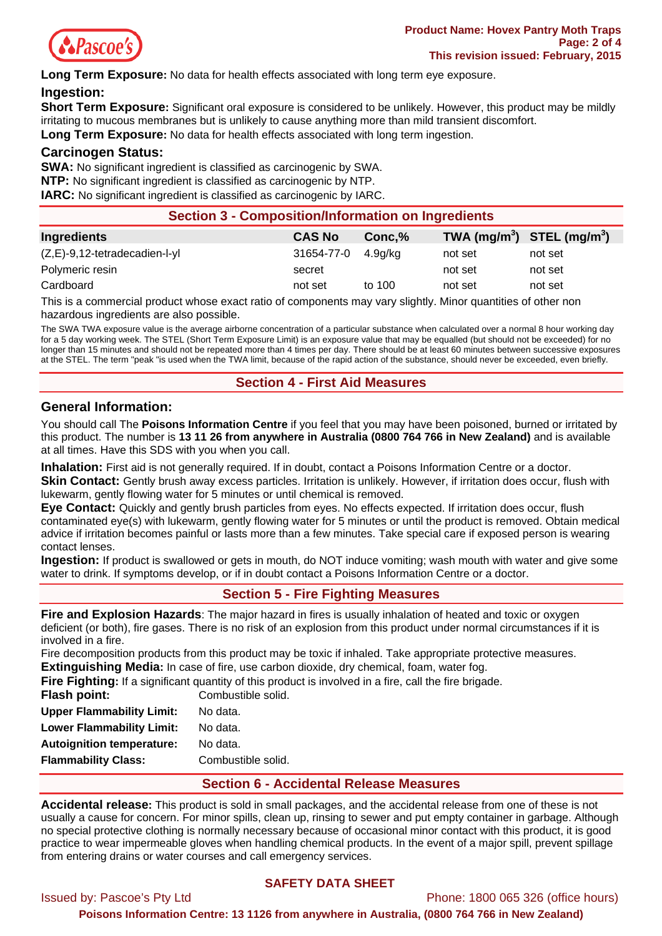

**Long Term Exposure:** No data for health effects associated with long term eye exposure.

#### **Ingestion:**

**Short Term Exposure:** Significant oral exposure is considered to be unlikely. However, this product may be mildly irritating to mucous membranes but is unlikely to cause anything more than mild transient discomfort.

**Long Term Exposure:** No data for health effects associated with long term ingestion.

#### **Carcinogen Status:**

**SWA:** No significant ingredient is classified as carcinogenic by SWA. **NTP:** No significant ingredient is classified as carcinogenic by NTP. **IARC:** No significant ingredient is classified as carcinogenic by IARC.

| <b>Section 3 - Composition/Information on Ingredients</b> |               |          |                                |         |
|-----------------------------------------------------------|---------------|----------|--------------------------------|---------|
| Ingredients                                               | <b>CAS No</b> | Conc.%   | TWA $(mg/m^3)$ STEL $(mg/m^3)$ |         |
| $(Z,E)$ -9,12-tetradecadien-l-yl                          | 31654-77-0    | 4.9a/ka  | not set                        | not set |
| Polymeric resin                                           | secret        |          | not set                        | not set |
| Cardboard                                                 | not set       | to $100$ | not set                        | not set |

This is a commercial product whose exact ratio of components may vary slightly. Minor quantities of other non hazardous ingredients are also possible.

The SWA TWA exposure value is the average airborne concentration of a particular substance when calculated over a normal 8 hour working day for a 5 day working week. The STEL (Short Term Exposure Limit) is an exposure value that may be equalled (but should not be exceeded) for no longer than 15 minutes and should not be repeated more than 4 times per day. There should be at least 60 minutes between successive exposures at the STEL. The term "peak "is used when the TWA limit, because of the rapid action of the substance, should never be exceeded, even briefly.

## **Section 4 - First Aid Measures**

### **General Information:**

You should call The **Poisons Information Centre** if you feel that you may have been poisoned, burned or irritated by this product. The number is **13 11 26 from anywhere in Australia (0800 764 766 in New Zealand)** and is available at all times. Have this SDS with you when you call.

**Inhalation:** First aid is not generally required. If in doubt, contact a Poisons Information Centre or a doctor. **Skin Contact:** Gently brush away excess particles. Irritation is unlikely. However, if irritation does occur, flush with lukewarm, gently flowing water for 5 minutes or until chemical is removed.

**Eye Contact:** Quickly and gently brush particles from eyes. No effects expected. If irritation does occur, flush contaminated eye(s) with lukewarm, gently flowing water for 5 minutes or until the product is removed. Obtain medical advice if irritation becomes painful or lasts more than a few minutes. Take special care if exposed person is wearing contact lenses.

**Ingestion:** If product is swallowed or gets in mouth, do NOT induce vomiting; wash mouth with water and give some water to drink. If symptoms develop, or if in doubt contact a Poisons Information Centre or a doctor.

# **Section 5 - Fire Fighting Measures**

**Fire and Explosion Hazards**: The major hazard in fires is usually inhalation of heated and toxic or oxygen deficient (or both), fire gases. There is no risk of an explosion from this product under normal circumstances if it is involved in a fire.

Fire decomposition products from this product may be toxic if inhaled. Take appropriate protective measures. **Extinguishing Media:** In case of fire, use carbon dioxide, dry chemical, foam, water fog.

|                                  | <b>Fire Fighting:</b> If a significant quantity of this product is involved in a fire, call the fire brigade. |
|----------------------------------|---------------------------------------------------------------------------------------------------------------|
| Flash point:                     | Combustible solid.                                                                                            |
| Upper Flammability Limit:        | No data.                                                                                                      |
| Lower Flammability Limit:        | No data.                                                                                                      |
| <b>Autoignition temperature:</b> | No data.                                                                                                      |

**Flammability Class:** Combustible solid.

### **Section 6 - Accidental Release Measures**

**Accidental release:** This product is sold in small packages, and the accidental release from one of these is not usually a cause for concern. For minor spills, clean up, rinsing to sewer and put empty container in garbage. Although no special protective clothing is normally necessary because of occasional minor contact with this product, it is good practice to wear impermeable gloves when handling chemical products. In the event of a major spill, prevent spillage from entering drains or water courses and call emergency services.

# **SAFETY DATA SHEET**

Issued by: Pascoe's Pty Ltd Phone: 1800 065 326 (office hours)

**Poisons Information Centre: 13 1126 from anywhere in Australia, (0800 764 766 in New Zealand)**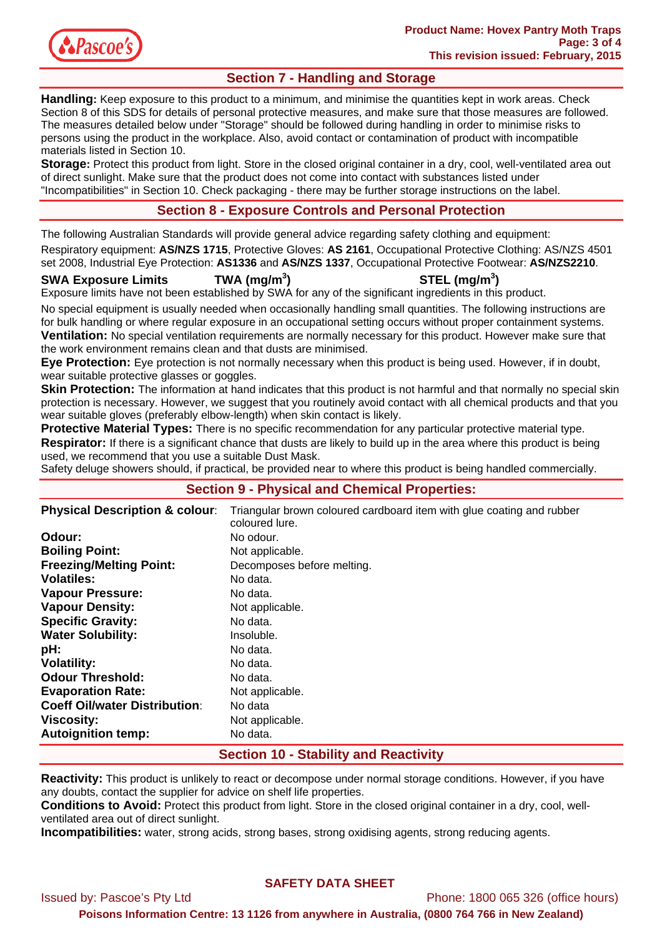

# **Section 7 - Handling and Storage**

**Handling:** Keep exposure to this product to a minimum, and minimise the quantities kept in work areas. Check Section 8 of this SDS for details of personal protective measures, and make sure that those measures are followed. The measures detailed below under "Storage" should be followed during handling in order to minimise risks to persons using the product in the workplace. Also, avoid contact or contamination of product with incompatible materials listed in Section 10.

**Storage:** Protect this product from light. Store in the closed original container in a dry, cool, well-ventilated area out of direct sunlight. Make sure that the product does not come into contact with substances listed under "Incompatibilities" in Section 10. Check packaging - there may be further storage instructions on the label.

# **Section 8 - Exposure Controls and Personal Protection**

The following Australian Standards will provide general advice regarding safety clothing and equipment:

Respiratory equipment: **AS/NZS 1715**, Protective Gloves: **AS 2161**, Occupational Protective Clothing: AS/NZS 4501 set 2008, Industrial Eye Protection: **AS1336** and **AS/NZS 1337**, Occupational Protective Footwear: **AS/NZS2210**.

**SWA Exposure Limits TWA (mg/m<sup>3</sup>**

**) STEL (mg/m<sup>3</sup> )** 

Exposure limits have not been established by SWA for any of the significant ingredients in this product.

No special equipment is usually needed when occasionally handling small quantities. The following instructions are for bulk handling or where regular exposure in an occupational setting occurs without proper containment systems. **Ventilation:** No special ventilation requirements are normally necessary for this product. However make sure that the work environment remains clean and that dusts are minimised.

**Eye Protection:** Eye protection is not normally necessary when this product is being used. However, if in doubt, wear suitable protective glasses or goggles.

**Skin Protection:** The information at hand indicates that this product is not harmful and that normally no special skin protection is necessary. However, we suggest that you routinely avoid contact with all chemical products and that you wear suitable gloves (preferably elbow-length) when skin contact is likely.

**Protective Material Types:** There is no specific recommendation for any particular protective material type. **Respirator:** If there is a significant chance that dusts are likely to build up in the area where this product is being used, we recommend that you use a suitable Dust Mask.

Safety deluge showers should, if practical, be provided near to where this product is being handled commercially.

# **Section 9 - Physical and Chemical Properties:**

| <b>Physical Description &amp; colour:</b> | Triangular brown coloured cardboard item with glue coating and rubber<br>coloured lure. |
|-------------------------------------------|-----------------------------------------------------------------------------------------|
| Odour:                                    | No odour.                                                                               |
| <b>Boiling Point:</b>                     | Not applicable.                                                                         |
| <b>Freezing/Melting Point:</b>            | Decomposes before melting.                                                              |
| <b>Volatiles:</b>                         | No data.                                                                                |
| <b>Vapour Pressure:</b>                   | No data.                                                                                |
| <b>Vapour Density:</b>                    | Not applicable.                                                                         |
| <b>Specific Gravity:</b>                  | No data.                                                                                |
| <b>Water Solubility:</b>                  | Insoluble.                                                                              |
| pH:                                       | No data.                                                                                |
| <b>Volatility:</b>                        | No data.                                                                                |
| <b>Odour Threshold:</b>                   | No data.                                                                                |
| <b>Evaporation Rate:</b>                  | Not applicable.                                                                         |
| <b>Coeff Oil/water Distribution:</b>      | No data                                                                                 |
| <b>Viscosity:</b>                         | Not applicable.                                                                         |
| <b>Autoignition temp:</b>                 | No data.                                                                                |

# **Section 10 - Stability and Reactivity**

**Reactivity:** This product is unlikely to react or decompose under normal storage conditions. However, if you have any doubts, contact the supplier for advice on shelf life properties.

**Conditions to Avoid:** Protect this product from light. Store in the closed original container in a dry, cool, wellventilated area out of direct sunlight.

**Incompatibilities:** water, strong acids, strong bases, strong oxidising agents, strong reducing agents.

## **SAFETY DATA SHEET**

Issued by: Pascoe's Pty Ltd Phone: 1800 065 326 (office hours)